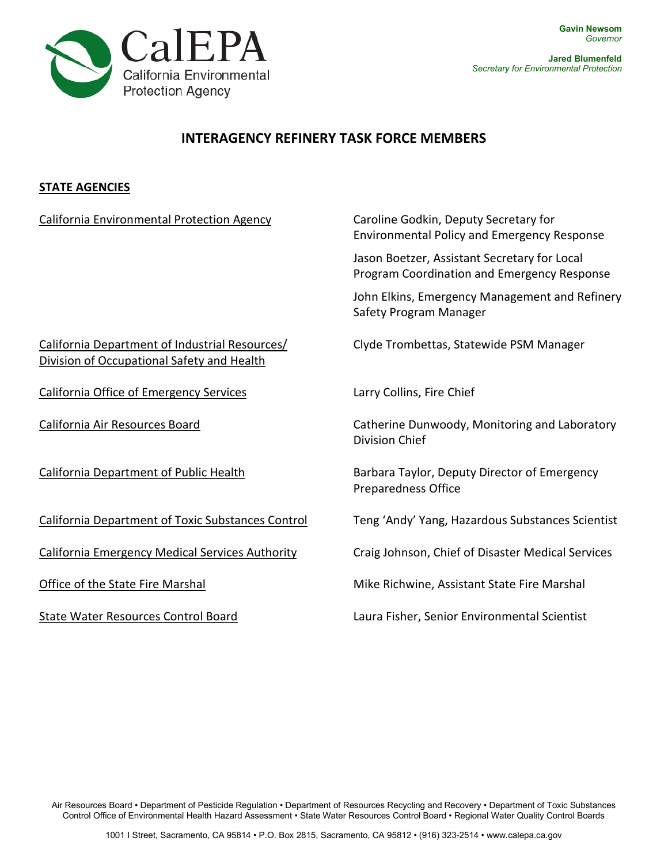

**Jared Blumenfeld**  *Secretary for Environmental Protection*

## **INTERAGENCY REFINERY TASK FORCE MEMBERS**

## **STATE AGENCIES**

| <b>California Environmental Protection Agency</b>                                            | Caroline Godkin, Deputy Secretary for<br><b>Environmental Policy and Emergency Response</b> |
|----------------------------------------------------------------------------------------------|---------------------------------------------------------------------------------------------|
|                                                                                              | Jason Boetzer, Assistant Secretary for Local<br>Program Coordination and Emergency Response |
|                                                                                              | John Elkins, Emergency Management and Refinery<br>Safety Program Manager                    |
| California Department of Industrial Resources/<br>Division of Occupational Safety and Health | Clyde Trombettas, Statewide PSM Manager                                                     |
| <b>California Office of Emergency Services</b>                                               | Larry Collins, Fire Chief                                                                   |
| California Air Resources Board                                                               | Catherine Dunwoody, Monitoring and Laboratory<br>Division Chief                             |
| <b>California Department of Public Health</b>                                                | Barbara Taylor, Deputy Director of Emergency<br><b>Preparedness Office</b>                  |
| California Department of Toxic Substances Control                                            | Teng 'Andy' Yang, Hazardous Substances Scientist                                            |
| California Emergency Medical Services Authority                                              | Craig Johnson, Chief of Disaster Medical Services                                           |
| Office of the State Fire Marshal                                                             | Mike Richwine, Assistant State Fire Marshal                                                 |
| State Water Resources Control Board                                                          | Laura Fisher, Senior Environmental Scientist                                                |

Air Resources Board • Department of Pesticide Regulation • Department of Resources Recycling and Recovery • Department of Toxic Substances Control Office of Environmental Health Hazard Assessment • State Water Resources Control Board • Regional Water Quality Control Boards